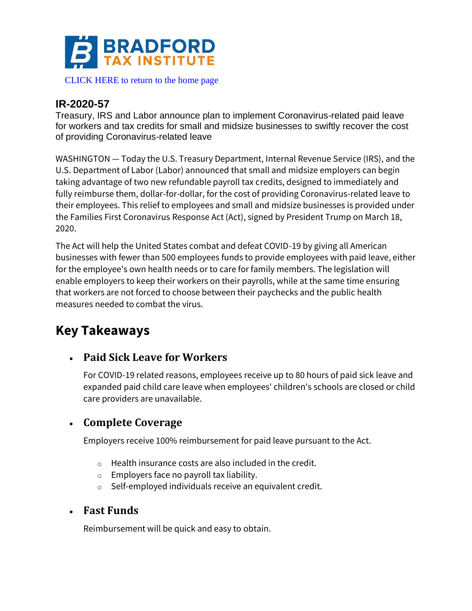

#### [CLICK HERE to return to the home page](http://www.bradfordtaxinstitute.com)

### **IR-2020-57**

Treasury, IRS and Labor announce plan to implement Coronavirus-related paid leave for workers and tax credits for small and midsize businesses to swiftly recover the cost of providing Coronavirus-related leave

WASHINGTON — Today the U.S. Treasury Department, Internal Revenue Service (IRS), and the U.S. Department of Labor (Labor) announced that small and midsize employers can begin taking advantage of two new refundable payroll tax credits, designed to immediately and fully reimburse them, dollar-for-dollar, for the cost of providing Coronavirus-related leave to their employees. This relief to employees and small and midsize businesses is provided under the Families First Coronavirus Response Act (Act), signed by President Trump on March 18, 2020.

The Act will help the United States combat and defeat COVID-19 by giving all American businesses with fewer than 500 employees funds to provide employees with paid leave, either for the employee's own health needs or to care for family members. The legislation will enable employers to keep their workers on their payrolls, while at the same time ensuring that workers are not forced to choose between their paychecks and the public health measures needed to combat the virus.

## **Key Takeaways**

#### • **Paid Sick Leave for Workers**

For COVID-19 related reasons, employees receive up to 80 hours of paid sick leave and expanded paid child care leave when employees' children's schools are closed or child care providers are unavailable.

#### • **Complete Coverage**

Employers receive 100% reimbursement for paid leave pursuant to the Act.

- o Health insurance costs are also included in the credit.
- o Employers face no payroll tax liability.
- o Self-employed individuals receive an equivalent credit.

#### • **Fast Funds**

Reimbursement will be quick and easy to obtain.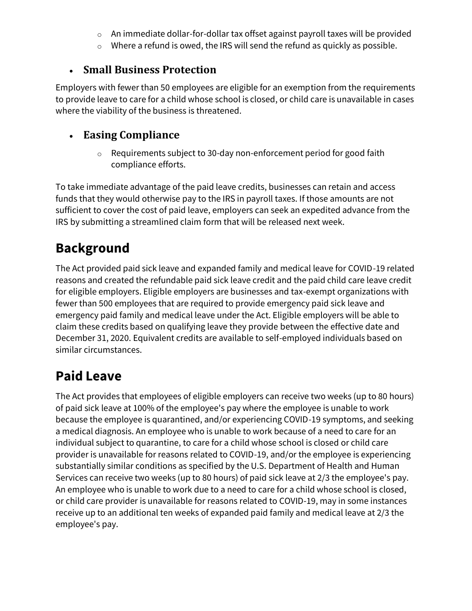- o An immediate dollar-for-dollar tax offset against payroll taxes will be provided
- o Where a refund is owed, the IRS will send the refund as quickly as possible.

### • **Small Business Protection**

Employers with fewer than 50 employees are eligible for an exemption from the requirements to provide leave to care for a child whose school is closed, or child care is unavailable in cases where the viability of the business is threatened.

### • **Easing Compliance**

o Requirements subject to 30-day non-enforcement period for good faith compliance efforts.

To take immediate advantage of the paid leave credits, businesses can retain and access funds that they would otherwise pay to the IRS in payroll taxes. If those amounts are not sufficient to cover the cost of paid leave, employers can seek an expedited advance from the IRS by submitting a streamlined claim form that will be released next week.

## **Background**

The Act provided paid sick leave and expanded family and medical leave for COVID-19 related reasons and created the refundable paid sick leave credit and the paid child care leave credit for eligible employers. Eligible employers are businesses and tax-exempt organizations with fewer than 500 employees that are required to provide emergency paid sick leave and emergency paid family and medical leave under the Act. Eligible employers will be able to claim these credits based on qualifying leave they provide between the effective date and December 31, 2020. Equivalent credits are available to self-employed individuals based on similar circumstances.

## **Paid Leave**

The Act provides that employees of eligible employers can receive two weeks (up to 80 hours) of paid sick leave at 100% of the employee's pay where the employee is unable to work because the employee is quarantined, and/or experiencing COVID-19 symptoms, and seeking a medical diagnosis. An employee who is unable to work because of a need to care for an individual subject to quarantine, to care for a child whose school is closed or child care provider is unavailable for reasons related to COVID-19, and/or the employee is experiencing substantially similar conditions as specified by the U.S. Department of Health and Human Services can receive two weeks (up to 80 hours) of paid sick leave at 2/3 the employee's pay. An employee who is unable to work due to a need to care for a child whose school is closed, or child care provider is unavailable for reasons related to COVID-19, may in some instances receive up to an additional ten weeks of expanded paid family and medical leave at 2/3 the employee's pay.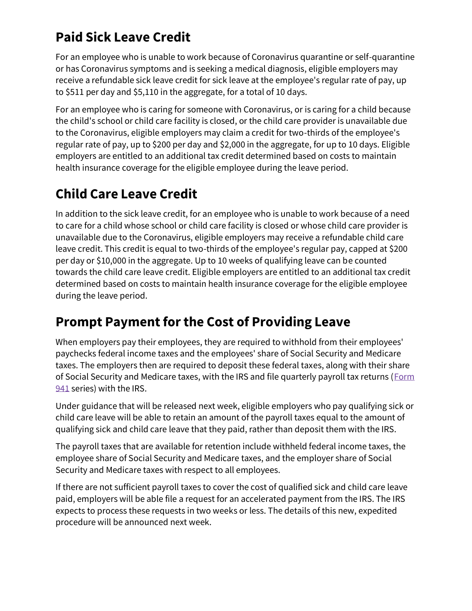## **Paid Sick Leave Credit**

For an employee who is unable to work because of Coronavirus quarantine or self-quarantine or has Coronavirus symptoms and is seeking a medical diagnosis, eligible employers may receive a refundable sick leave credit for sick leave at the employee's regular rate of pay, up to \$511 per day and \$5,110 in the aggregate, for a total of 10 days.

For an employee who is caring for someone with Coronavirus, or is caring for a child because the child's school or child care facility is closed, or the child care provider is unavailable due to the Coronavirus, eligible employers may claim a credit for two-thirds of the employee's regular rate of pay, up to \$200 per day and \$2,000 in the aggregate, for up to 10 days. Eligible employers are entitled to an additional tax credit determined based on costs to maintain health insurance coverage for the eligible employee during the leave period.

## **Child Care Leave Credit**

In addition to the sick leave credit, for an employee who is unable to work because of a need to care for a child whose school or child care facility is closed or whose child care provider is unavailable due to the Coronavirus, eligible employers may receive a refundable child care leave credit. This credit is equal to two-thirds of the employee's regular pay, capped at \$200 per day or \$10,000 in the aggregate. Up to 10 weeks of qualifying leave can be counted towards the child care leave credit. Eligible employers are entitled to an additional tax credit determined based on costs to maintain health insurance coverage for the eligible employee during the leave period.

## **Prompt Payment for the Cost of Providing Leave**

When employers pay their employees, they are required to withhold from their employees' paychecks federal income taxes and the employees' share of Social Security and Medicare taxes. The employers then are required to deposit these federal taxes, along with their share of Social Security and Medicare taxes, with the IRS and file quarterly payroll tax returns [\(Form](https://www.irs.gov/forms-pubs/about-form-941)  [941](https://www.irs.gov/forms-pubs/about-form-941) series) with the IRS.

Under guidance that will be released next week, eligible employers who pay qualifying sick or child care leave will be able to retain an amount of the payroll taxes equal to the amount of qualifying sick and child care leave that they paid, rather than deposit them with the IRS.

The payroll taxes that are available for retention include withheld federal income taxes, the employee share of Social Security and Medicare taxes, and the employer share of Social Security and Medicare taxes with respect to all employees.

If there are not sufficient payroll taxes to cover the cost of qualified sick and child care leave paid, employers will be able file a request for an accelerated payment from the IRS. The IRS expects to process these requests in two weeks or less. The details of this new, expedited procedure will be announced next week.